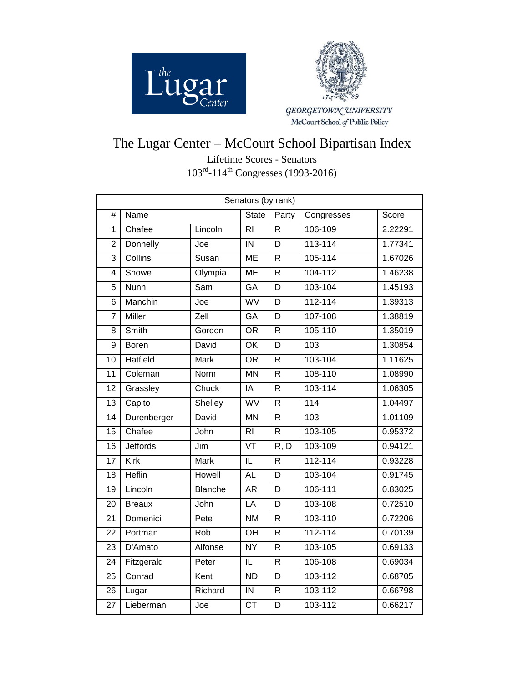



GEORGETOWN UNIVERSITY<br>McCourt School of Public Policy

## The Lugar Center – McCourt School Bipartisan Index

Lifetime Scores - Senators 103<sup>rd</sup>-114<sup>th</sup> Congresses (1993-2016)

| Senators (by rank) |                 |                |                          |                         |             |         |  |  |
|--------------------|-----------------|----------------|--------------------------|-------------------------|-------------|---------|--|--|
| $\#$               | Name            |                | <b>State</b>             | Party                   | Congresses  | Score   |  |  |
| 1                  | Chafee          | Lincoln        | R <sub>l</sub>           | R                       | 106-109     | 2.22291 |  |  |
| $\overline{2}$     | Donnelly        | Joe            | IN                       | D                       | $113 - 114$ | 1.77341 |  |  |
| $\overline{3}$     | Collins         | Susan          | <b>ME</b>                | R.                      | 105-114     | 1.67026 |  |  |
| 4                  | Snowe           | Olympia        | <b>ME</b>                | $\overline{R}$          | 104-112     | 1.46238 |  |  |
| $\overline{5}$     | Nunn            | Sam            | GA                       | $\overline{\mathsf{D}}$ | 103-104     | 1.45193 |  |  |
| 6                  | Manchin         | Joe            | WV                       | D                       | $112 - 114$ | 1.39313 |  |  |
| $\overline{7}$     | <b>Miller</b>   | Zell           | GA                       | D                       | 107-108     | 1.38819 |  |  |
| 8                  | Smith           | Gordon         | $\overline{OR}$          | $\overline{\mathsf{R}}$ | 105-110     | 1.35019 |  |  |
| $\overline{9}$     | Boren           | David          | $\overline{OK}$          | $\overline{D}$          | 103         | 1.30854 |  |  |
| 10                 | Hatfield        | Mark           | <b>OR</b>                | R                       | 103-104     | 1.11625 |  |  |
| 11                 | Coleman         | Norm           | $\overline{MN}$          | R.                      | 108-110     | 1.08990 |  |  |
| 12                 | Grassley        | Chuck          | $\overline{IA}$          | $\overline{\mathsf{R}}$ | 103-114     | 1.06305 |  |  |
| $\overline{13}$    | Capito          | Shelley        | WV                       | R                       | 114         | 1.04497 |  |  |
| 14                 | Durenberger     | David          | <b>MN</b>                | R                       | 103         | 1.01109 |  |  |
| $\overline{15}$    | Chafee          | John           | $\overline{R}$           | $\overline{R}$          | 103-105     | 0.95372 |  |  |
| $\overline{16}$    | <b>Jeffords</b> | Jim            | $\overline{\text{VT}}$   | R, D                    | 103-109     | 0.94121 |  |  |
| $\overline{17}$    | Kirk            | <b>Mark</b>    | $\overline{\mathsf{IL}}$ | $\overline{\mathsf{R}}$ | $112 - 114$ | 0.93228 |  |  |
| 18                 | <b>Heflin</b>   | Howell         | AL                       | $\overline{\mathsf{D}}$ | 103-104     | 0.91745 |  |  |
| 19                 | Lincoln         | <b>Blanche</b> | <b>AR</b>                | D                       | 106-111     | 0.83025 |  |  |
| 20                 | <b>Breaux</b>   | John           | $\overline{LA}$          | D                       | 103-108     | 0.72510 |  |  |
| $\overline{21}$    | Domenici        | Pete           | <b>NM</b>                | $\overline{\mathsf{R}}$ | 103-110     | 0.72206 |  |  |
| 22                 | Portman         | Rob            | OH                       | R                       | 112-114     | 0.70139 |  |  |
| 23                 | D'Amato         | Alfonse        | $\overline{NY}$          | R                       | 103-105     | 0.69133 |  |  |
| 24                 | Fitzgerald      | Peter          | IL                       | R                       | 106-108     | 0.69034 |  |  |
| $\overline{25}$    | Conrad          | Kent           | $\overline{ND}$          | D                       | 103-112     | 0.68705 |  |  |
| 26                 | Lugar           | Richard        | $\overline{N}$           | R                       | 103-112     | 0.66798 |  |  |
| 27                 | Lieberman       | Joe            | $\overline{\text{CT}}$   | D                       | 103-112     | 0.66217 |  |  |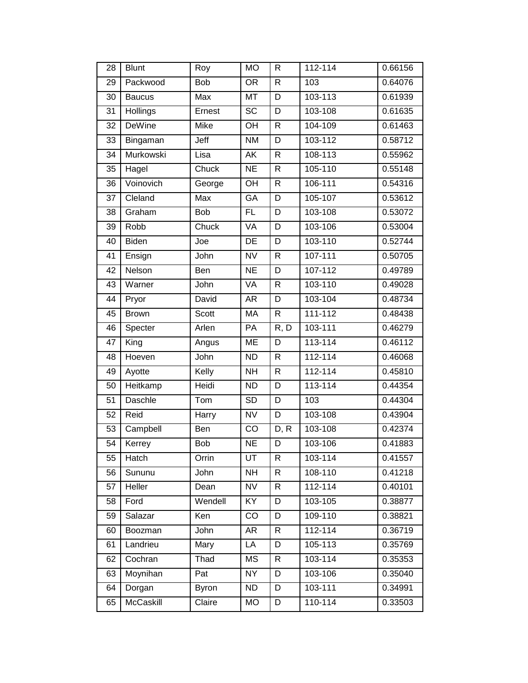| 28 | <b>Blunt</b>  | Roy          | <b>MO</b>              | R            | 112-114     | 0.66156 |
|----|---------------|--------------|------------------------|--------------|-------------|---------|
| 29 | Packwood      | Bob          | <b>OR</b>              | $\mathsf{R}$ | 103         | 0.64076 |
| 30 | <b>Baucus</b> | Max          | <b>MT</b>              | D            | 103-113     | 0.61939 |
| 31 | Hollings      | Ernest       | $\overline{SC}$        | D            | 103-108     | 0.61635 |
| 32 | <b>DeWine</b> | Mike         | OH                     | $\mathsf{R}$ | 104-109     | 0.61463 |
| 33 | Bingaman      | Jeff         | <b>NM</b>              | D            | 103-112     | 0.58712 |
| 34 | Murkowski     | Lisa         | AK                     | $\mathsf{R}$ | 108-113     | 0.55962 |
| 35 | Hagel         | Chuck        | <b>NE</b>              | $\mathsf{R}$ | 105-110     | 0.55148 |
| 36 | Voinovich     | George       | OH                     | $\mathsf{R}$ | 106-111     | 0.54316 |
| 37 | Cleland       | <b>Max</b>   | GA                     | D            | 105-107     | 0.53612 |
| 38 | Graham        | Bob          | FL                     | D            | 103-108     | 0.53072 |
| 39 | Robb          | Chuck        | VA                     | D            | 103-106     | 0.53004 |
| 40 | <b>Biden</b>  | Joe          | DE                     | D            | 103-110     | 0.52744 |
| 41 | Ensign        | John         | $\overline{\text{NV}}$ | $\mathsf{R}$ | $107 - 111$ | 0.50705 |
| 42 | Nelson        | Ben          | <b>NE</b>              | D            | 107-112     | 0.49789 |
| 43 | Warner        | John         | VA                     | $\mathsf{R}$ | 103-110     | 0.49028 |
| 44 | Pryor         | David        | AR                     | D            | 103-104     | 0.48734 |
| 45 | <b>Brown</b>  | <b>Scott</b> | <b>MA</b>              | $\mathsf{R}$ | 111-112     | 0.48438 |
| 46 | Specter       | Arlen        | PA                     | R, D         | 103-111     | 0.46279 |
| 47 | King          | Angus        | ME                     | D            | 113-114     | 0.46112 |
| 48 | Hoeven        | John         | <b>ND</b>              | $\mathsf{R}$ | 112-114     | 0.46068 |
| 49 | Ayotte        | Kelly        | <b>NH</b>              | $\mathsf{R}$ | 112-114     | 0.45810 |
| 50 | Heitkamp      | Heidi        | <b>ND</b>              | D            | $113 - 114$ | 0.44354 |
| 51 | Daschle       | Tom          | <b>SD</b>              | D            | 103         | 0.44304 |
| 52 | Reid          | Harry        | <b>NV</b>              | D            | 103-108     | 0.43904 |
| 53 | Campbell      | Ben          | CO                     | D, R         | 103-108     | 0.42374 |
| 54 | Kerrey        | Bob          | <b>NE</b>              | D            | 103-106     | 0.41883 |
| 55 | Hatch         | Orrin        | UT                     | $\mathsf{R}$ | 103-114     | 0.41557 |
| 56 | Sununu        | John         | <b>NH</b>              | $\mathsf{R}$ | 108-110     | 0.41218 |
| 57 | Heller        | Dean         | <b>NV</b>              | R            | 112-114     | 0.40101 |
| 58 | Ford          | Wendell      | KY                     | D            | 103-105     | 0.38877 |
| 59 | Salazar       | Ken          | CO                     | D            | 109-110     | 0.38821 |
| 60 | Boozman       | John         | AR                     | $\mathsf{R}$ | 112-114     | 0.36719 |
| 61 | Landrieu      | Mary         | LA                     | D            | $105 - 113$ | 0.35769 |
| 62 | Cochran       | Thad         | <b>MS</b>              | $\mathsf{R}$ | 103-114     | 0.35353 |
| 63 | Moynihan      | Pat          | <b>NY</b>              | D            | 103-106     | 0.35040 |
| 64 | Dorgan        | <b>Byron</b> | <b>ND</b>              | D            | 103-111     | 0.34991 |
| 65 | McCaskill     | Claire       | <b>MO</b>              | D            | 110-114     | 0.33503 |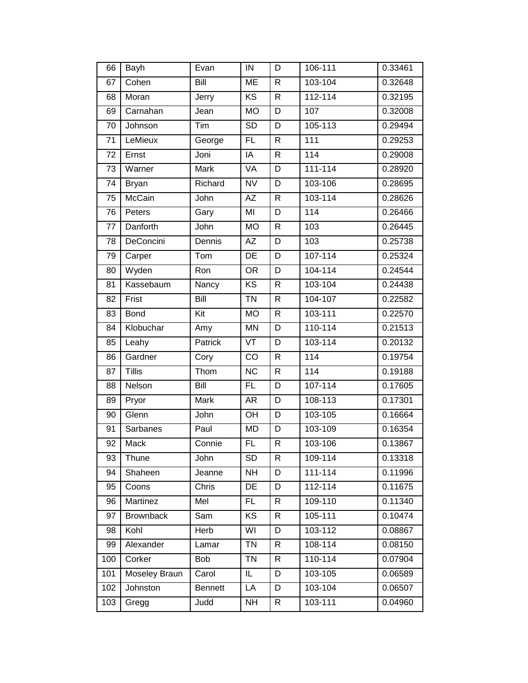| 66  | Bayh             | Evan           | IN              | D            | 106-111     | 0.33461 |
|-----|------------------|----------------|-----------------|--------------|-------------|---------|
| 67  | Cohen            | Bill           | ME              | R            | 103-104     | 0.32648 |
| 68  | Moran            | Jerry          | <b>KS</b>       | $\mathsf{R}$ | 112-114     | 0.32195 |
| 69  | Carnahan         | Jean           | <b>MO</b>       | D            | 107         | 0.32008 |
| 70  | Johnson          | Tim            | <b>SD</b>       | D            | 105-113     | 0.29494 |
| 71  | LeMieux          | George         | FL.             | R            | 111         | 0.29253 |
| 72  | Ernst            | Joni           | $\overline{A}$  | $\mathsf{R}$ | 114         | 0.29008 |
| 73  | Warner           | Mark           | VA              | D            | $111 - 114$ | 0.28920 |
| 74  | <b>Bryan</b>     | Richard        | <b>NV</b>       | D            | 103-106     | 0.28695 |
| 75  | McCain           | John           | AZ              | $\mathsf{R}$ | 103-114     | 0.28626 |
| 76  | Peters           | Gary           | MI              | D            | 114         | 0.26466 |
| 77  | Danforth         | John           | <b>MO</b>       | $\mathsf{R}$ | 103         | 0.26445 |
| 78  | DeConcini        | Dennis         | <b>AZ</b>       | D            | 103         | 0.25738 |
| 79  | Carper           | Tom            | DE              | D            | 107-114     | 0.25324 |
| 80  | Wyden            | Ron            | <b>OR</b>       | D            | 104-114     | 0.24544 |
| 81  | Kassebaum        | Nancy          | <b>KS</b>       | $\mathsf{R}$ | 103-104     | 0.24438 |
| 82  | Frist            | Bill           | <b>TN</b>       | $\mathsf{R}$ | 104-107     | 0.22582 |
| 83  | <b>Bond</b>      | Kit            | <b>MO</b>       | $\mathsf{R}$ | 103-111     | 0.22570 |
| 84  | Klobuchar        | Amy            | <b>MN</b>       | D            | 110-114     | 0.21513 |
| 85  | Leahy            | Patrick        | VT              | D            | 103-114     | 0.20132 |
| 86  | Gardner          | Cory           | CO              | $\mathsf{R}$ | 114         | 0.19754 |
| 87  | Tillis           | Thom           | <b>NC</b>       | $\mathsf{R}$ | 114         | 0.19188 |
| 88  | Nelson           | Bill           | FL.             | D            | 107-114     | 0.17605 |
| 89  | Pryor            | Mark           | AR              | D            | 108-113     | 0.17301 |
| 90  | Glenn            | John           | OH              | D            | 103-105     | 0.16664 |
| 91  | Sarbanes         | Paul           | <b>MD</b>       | D            | 103-109     | 0.16354 |
| 92  | Mack             | Connie         | <b>FL</b>       | $\mathsf{R}$ | 103-106     | 0.13867 |
| 93  | Thune            | John           | $\overline{SD}$ | $\mathsf{R}$ | 109-114     | 0.13318 |
| 94  | Shaheen          | Jeanne         | <b>NH</b>       | D            | $111 - 114$ | 0.11996 |
| 95  | Coons            | Chris          | DE              | D            | 112-114     | 0.11675 |
| 96  | Martinez         | Mel            | FL.             | R            | 109-110     | 0.11340 |
| 97  | <b>Brownback</b> | Sam            | KS              | R            | 105-111     | 0.10474 |
| 98  | Kohl             | Herb           | WI              | D            | 103-112     | 0.08867 |
| 99  | Alexander        | Lamar          | <b>TN</b>       | R            | 108-114     | 0.08150 |
| 100 | Corker           | Bob            | <b>TN</b>       | R            | 110-114     | 0.07904 |
| 101 | Moseley Braun    | Carol          | IL              | D            | 103-105     | 0.06589 |
| 102 | Johnston         | <b>Bennett</b> | LA              | D            | 103-104     | 0.06507 |
| 103 | Gregg            | Judd           | <b>NH</b>       | R.           | 103-111     | 0.04960 |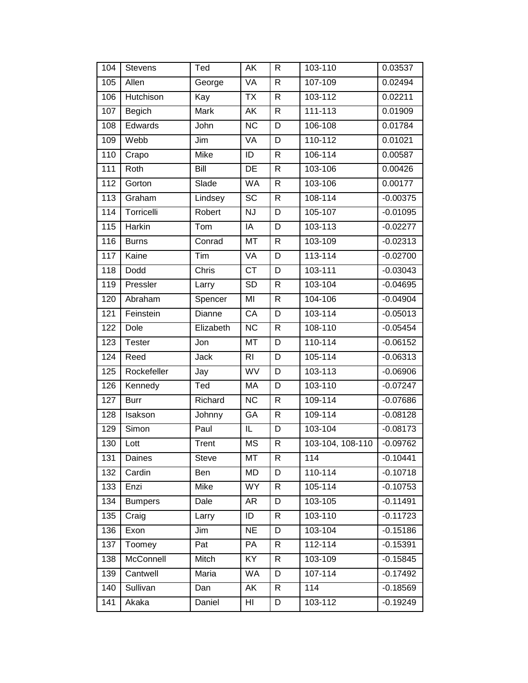| 104               | <b>Stevens</b> | Ted         | AK                     | R              | 103-110          | 0.03537    |
|-------------------|----------------|-------------|------------------------|----------------|------------------|------------|
| 105               | Allen          | George      | <b>VA</b>              | $\overline{R}$ | 107-109          | 0.02494    |
| 106               | Hutchison      | Kay         | <b>TX</b>              | $\mathsf{R}$   | 103-112          | 0.02211    |
| 107               | Begich         | Mark        | AK                     | $\mathsf{R}$   | 111-113          | 0.01909    |
| 108               | Edwards        | John        | <b>NC</b>              | D              | 106-108          | 0.01784    |
| 109               | Webb           | Jim         | VA                     | D              | 110-112          | 0.01021    |
| 110               | Crapo          | <b>Mike</b> | ID                     | $\mathsf{R}$   | 106-114          | 0.00587    |
| 111               | Roth           | Bill        | DE                     | $\mathsf{R}$   | 103-106          | 0.00426    |
| 112               | Gorton         | Slade       | <b>WA</b>              | $\mathsf{R}$   | 103-106          | 0.00177    |
| 113               | Graham         | Lindsey     | $\overline{SC}$        | $\mathsf{R}$   | 108-114          | $-0.00375$ |
| 114               | Torricelli     | Robert      | $\overline{\text{NJ}}$ | D              | 105-107          | $-0.01095$ |
| 115               | Harkin         | Tom         | IA                     | D              | 103-113          | $-0.02277$ |
| 116               | <b>Burns</b>   | Conrad      | <b>MT</b>              | $\mathsf{R}$   | 103-109          | $-0.02313$ |
| $\frac{117}{117}$ | Kaine          | Tim         | <b>VA</b>              | D              | 113-114          | $-0.02700$ |
| 118               | Dodd           | Chris       | <b>CT</b>              | D              | 103-111          | $-0.03043$ |
| 119               | Pressler       | Larry       | $\overline{SD}$        | $\mathsf{R}$   | 103-104          | $-0.04695$ |
| 120               | Abraham        | Spencer     | MI                     | $\mathsf{R}$   | 104-106          | $-0.04904$ |
| 121               | Feinstein      | Dianne      | CA                     | D              | 103-114          | $-0.05013$ |
| 122               | Dole           | Elizabeth   | $\overline{\text{NC}}$ | $\mathsf{R}$   | 108-110          | $-0.05454$ |
| 123               | Tester         | Jon         | MT                     | D              | 110-114          | $-0.06152$ |
| 124               | Reed           | Jack        | RI.                    | D              | 105-114          | $-0.06313$ |
| 125               | Rockefeller    | Jay         | <b>WV</b>              | D              | 103-113          | $-0.06906$ |
| 126               | Kennedy        | Ted         | MA                     | D              | 103-110          | $-0.07247$ |
| 127               | <b>Burr</b>    | Richard     | <b>NC</b>              | $\mathsf{R}$   | 109-114          | $-0.07686$ |
| 128               | Isakson        | Johnny      | GA                     | $\mathsf{R}$   | 109-114          | $-0.08128$ |
| 129               | Simon          | Paul        | IL                     | D              | 103-104          | $-0.08173$ |
| 130               | Lott           | Trent       | <b>MS</b>              | $\mathsf{R}$   | 103-104, 108-110 | $-0.09762$ |
| 131               | Daines         | Steve       | MT                     | $\mathsf{R}$   | 114              | $-0.10441$ |
| 132               | Cardin         | Ben         | <b>MD</b>              | D              | 110-114          | $-0.10718$ |
| 133               | Enzi           | Mike        | WY                     | R              | 105-114          | $-0.10753$ |
| 134               | <b>Bumpers</b> | Dale        | AR                     | D              | 103-105          | $-0.11491$ |
| 135               | Craig          | Larry       | ID                     | $\mathsf{R}$   | 103-110          | $-0.11723$ |
| 136               | Exon           | Jim         | <b>NE</b>              | D              | 103-104          | $-0.15186$ |
| 137               | Toomey         | Pat         | PA                     | $\mathsf{R}$   | 112-114          | $-0.15391$ |
|                   |                |             |                        |                |                  |            |
| 138               | McConnell      | Mitch       | KY                     | R              | 103-109          | $-0.15845$ |
| 139               | Cantwell       | Maria       | WA                     | D              | 107-114          | $-0.17492$ |
| 140               | Sullivan       | Dan         | AK                     | $\mathsf{R}$   | 114              | $-0.18569$ |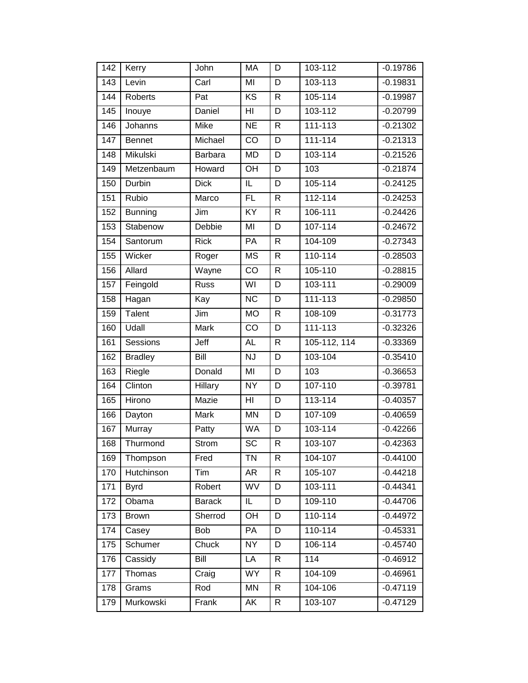| 142 | Kerry          | John          | MA              | D            | 103-112      | $-0.19786$ |
|-----|----------------|---------------|-----------------|--------------|--------------|------------|
| 143 | Levin          | Carl          | MI              | D            | 103-113      | $-0.19831$ |
| 144 | Roberts        | Pat           | <b>KS</b>       | $\mathsf{R}$ | 105-114      | $-0.19987$ |
| 145 | Inouye         | Daniel        | HI              | D            | 103-112      | $-0.20799$ |
| 146 | Johanns        | Mike          | <b>NE</b>       | $\mathsf{R}$ | 111-113      | $-0.21302$ |
| 147 | Bennet         | Michael       | CO              | D            | 111-114      | $-0.21313$ |
| 148 | Mikulski       | Barbara       | <b>MD</b>       | D            | 103-114      | $-0.21526$ |
| 149 | Metzenbaum     | Howard        | OH              | D            | 103          | $-0.21874$ |
| 150 | Durbin         | <b>Dick</b>   | IL              | D            | 105-114      | $-0.24125$ |
| 151 | Rubio          | Marco         | FL              | $\mathsf{R}$ | $112 - 114$  | $-0.24253$ |
| 152 | <b>Bunning</b> | Jim           | $\overline{KY}$ | $\mathsf{R}$ | 106-111      | $-0.24426$ |
| 153 | Stabenow       | Debbie        | MI              | D            | 107-114      | $-0.24672$ |
| 154 | Santorum       | <b>Rick</b>   | PA              | $\mathsf{R}$ | 104-109      | $-0.27343$ |
| 155 | Wicker         | Roger         | <b>MS</b>       | $\mathsf{R}$ | 110-114      | $-0.28503$ |
| 156 | Allard         | Wayne         | CO              | $\mathsf{R}$ | 105-110      | $-0.28815$ |
| 157 | Feingold       | <b>Russ</b>   | WI              | D            | 103-111      | $-0.29009$ |
| 158 | Hagan          | Kay           | <b>NC</b>       | D            | 111-113      | $-0.29850$ |
| 159 | Talent         | Jim           | <b>MO</b>       | $\mathsf{R}$ | 108-109      | $-0.31773$ |
| 160 | Udall          | Mark          | CO              | D            | 111-113      | $-0.32326$ |
|     |                |               |                 |              |              |            |
| 161 | Sessions       | Jeff          | <b>AL</b>       | $\mathsf{R}$ | 105-112, 114 | $-0.33369$ |
| 162 | <b>Bradley</b> | Bill          | <b>NJ</b>       | D            | 103-104      | $-0.35410$ |
| 163 | Riegle         | Donald        | MI              | D            | 103          | $-0.36653$ |
| 164 | Clinton        | Hillary       | $\overline{NY}$ | D            | 107-110      | $-0.39781$ |
| 165 | Hirono         | Mazie         | HI              | D            | 113-114      | $-0.40357$ |
| 166 | Dayton         | Mark          | MN              | D            | $107 - 109$  | $-0.40659$ |
| 167 | Murray         | Patty         | <b>WA</b>       | D            | 103-114      | $-0.42266$ |
| 168 | Thurmond       | Strom         | $\overline{SC}$ | $\mathsf{R}$ | 103-107      | $-0.42363$ |
| 169 | Thompson       | Fred          | <b>TN</b>       | $\mathsf{R}$ | 104-107      | $-0.44100$ |
| 170 | Hutchinson     | Tim           | <b>AR</b>       | $\mathsf{R}$ | 105-107      | $-0.44218$ |
| 171 | <b>Byrd</b>    | Robert        | WV              | D            | 103-111      | $-0.44341$ |
| 172 | Obama          | <b>Barack</b> | IL              | D            | 109-110      | $-0.44706$ |
| 173 | <b>Brown</b>   | Sherrod       | OH              | D            | 110-114      | $-0.44972$ |
| 174 | Casey          | Bob           | PA              | D            | 110-114      | $-0.45331$ |
| 175 | Schumer        | Chuck         | <b>NY</b>       | D            | 106-114      | $-0.45740$ |
| 176 | Cassidy        | Bill          | LA              | R            | 114          | $-0.46912$ |
| 177 | Thomas         | Craig         | <b>WY</b>       | $\mathsf{R}$ | 104-109      | $-0.46961$ |
| 178 | Grams          | Rod           | MN              | $\mathsf{R}$ | 104-106      | $-0.47119$ |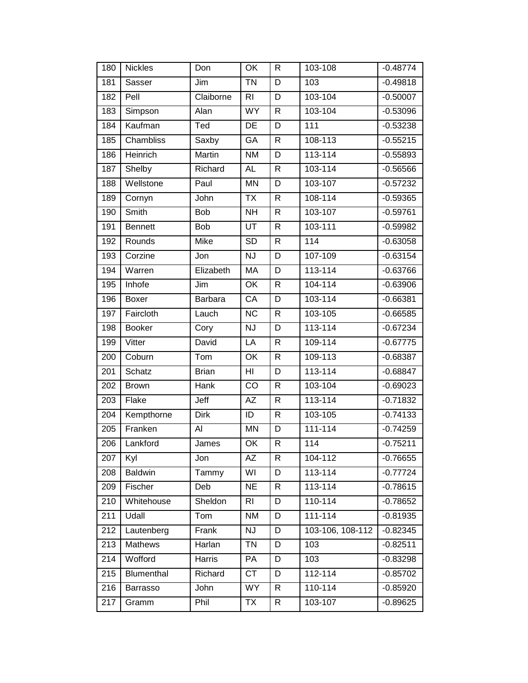| 180 | <b>Nickles</b> | Don            | OK              | R              | 103-108          | $-0.48774$ |
|-----|----------------|----------------|-----------------|----------------|------------------|------------|
| 181 | Sasser         | Jim            | <b>TN</b>       | D              | 103              | $-0.49818$ |
| 182 | Pell           | Claiborne      | R <sub>l</sub>  | D              | 103-104          | $-0.50007$ |
| 183 | Simpson        | Alan           | <b>WY</b>       | $\mathsf{R}$   | 103-104          | $-0.53096$ |
| 184 | Kaufman        | Ted            | DE              | D              | 111              | $-0.53238$ |
| 185 | Chambliss      | Saxby          | GA              | $\mathsf{R}$   | 108-113          | $-0.55215$ |
| 186 | Heinrich       | Martin         | <b>NM</b>       | D              | $113 - 114$      | $-0.55893$ |
| 187 | Shelby         | Richard        | <b>AL</b>       | ${\sf R}$      | 103-114          | $-0.56566$ |
| 188 | Wellstone      | Paul           | <b>MN</b>       | D              | 103-107          | $-0.57232$ |
| 189 | Cornyn         | John           | <b>TX</b>       | $\overline{R}$ | 108-114          | $-0.59365$ |
| 190 | Smith          | Bob            | <b>NH</b>       | $\mathsf{R}$   | 103-107          | $-0.59761$ |
| 191 | <b>Bennett</b> | Bob            | UT              | $\mathsf{R}$   | 103-111          | $-0.59982$ |
| 192 | Rounds         | Mike           | $\overline{SD}$ | $\mathsf{R}$   | 114              | $-0.63058$ |
| 193 | Corzine        | Jon            | <b>NJ</b>       | D              | 107-109          | $-0.63154$ |
| 194 | Warren         | Elizabeth      | MA              | D              | 113-114          | $-0.63766$ |
| 195 | Inhofe         | Jim            | OK              | $\mathsf{R}$   | 104-114          | $-0.63906$ |
| 196 | Boxer          | <b>Barbara</b> | CA              | D              | 103-114          | $-0.66381$ |
| 197 | Faircloth      | Lauch          | <b>NC</b>       | $\mathsf{R}$   | 103-105          | $-0.66585$ |
| 198 | <b>Booker</b>  | Cory           | <b>NJ</b>       | D              | 113-114          | $-0.67234$ |
| 199 | Vitter         | David          | LA              | $\mathsf{R}$   | 109-114          | $-0.67775$ |
| 200 | Coburn         | Tom            | OK              | $\mathsf{R}$   | 109-113          | $-0.68387$ |
| 201 | Schatz         | <b>Brian</b>   | HI              | D              | 113-114          | $-0.68847$ |
| 202 | <b>Brown</b>   | Hank           | CO              | $\mathsf{R}$   | 103-104          | $-0.69023$ |
| 203 | Flake          | Jeff           | ΑZ              | $\mathsf{R}$   | 113-114          | $-0.71832$ |
| 204 | Kempthorne     | <b>Dirk</b>    | ID              | R              | 103-105          | $-0.74133$ |
| 205 | Franken        | Al             | <b>MN</b>       | D              | $111 - 114$      | $-0.74259$ |
| 206 | Lankford       | James          | OK              | $\mathsf{R}$   | 114              | $-0.75211$ |
| 207 | Kyl            | Jon            | AZ              | $\overline{R}$ | 104-112          | $-0.76655$ |
| 208 | Baldwin        | Tammy          | WI              | D              | 113-114          | $-0.77724$ |
| 209 | Fischer        | Deb            | <b>NE</b>       | R              | 113-114          | $-0.78615$ |
| 210 | Whitehouse     | Sheldon        | R <sub>l</sub>  | D              | 110-114          | $-0.78652$ |
| 211 | Udall          | Tom            | <b>NM</b>       | D              | $111 - 114$      | $-0.81935$ |
| 212 | Lautenberg     | Frank          | <b>NJ</b>       | D              | 103-106, 108-112 | $-0.82345$ |
| 213 | <b>Mathews</b> | Harlan         | <b>TN</b>       | D              | 103              | $-0.82511$ |
| 214 | Wofford        | Harris         | PA              | D              | 103              | $-0.83298$ |
| 215 | Blumenthal     | Richard        | <b>CT</b>       | D              | 112-114          | $-0.85702$ |
| 216 | Barrasso       | John           | <b>WY</b>       | $\mathsf{R}$   | 110-114          | $-0.85920$ |
| 217 | Gramm          | Phil           | <b>TX</b>       | R              | 103-107          | $-0.89625$ |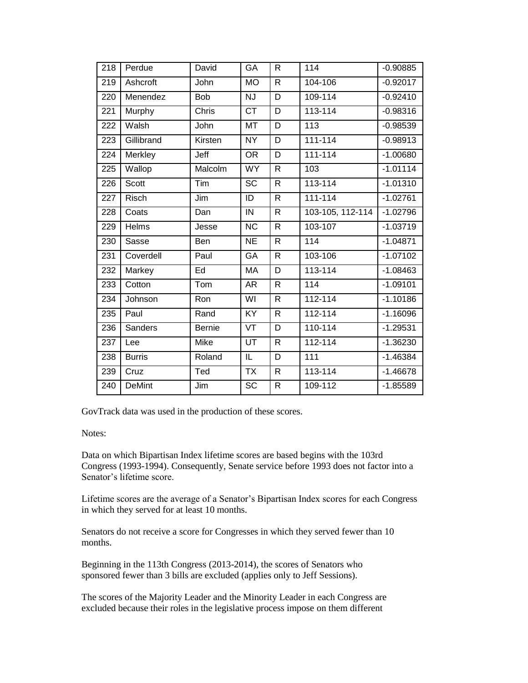| 218 | Perdue        | David         | GA                     | $\mathsf{R}$   | 114              | $-0.90885$ |
|-----|---------------|---------------|------------------------|----------------|------------------|------------|
| 219 | Ashcroft      | John          | <b>MO</b>              | $\mathsf{R}$   | 104-106          | $-0.92017$ |
| 220 | Menendez      | <b>Bob</b>    | <b>NJ</b>              | D              | 109-114          | $-0.92410$ |
| 221 | Murphy        | Chris         | $\overline{CT}$        | D              | 113-114          | $-0.98316$ |
| 222 | Walsh         | John          | <b>MT</b>              | D              | 113              | $-0.98539$ |
| 223 | Gillibrand    | Kirsten       | <b>NY</b>              | D              | $111 - 114$      | $-0.98913$ |
| 224 | Merkley       | Jeff          | $\overline{OR}$        | $\overline{D}$ | $111 - 114$      | $-1.00680$ |
| 225 | Wallop        | Malcolm       | <b>WY</b>              | $\mathsf{R}$   | 103              | $-1.01114$ |
| 226 | <b>Scott</b>  | Tim           | <b>SC</b>              | $\mathsf{R}$   | 113-114          | $-1.01310$ |
| 227 | <b>Risch</b>  | Jim           | ID                     | $\mathsf{R}$   | $111 - 114$      | $-1.02761$ |
| 228 | Coats         | Dan           | IN                     | $\mathsf{R}$   | 103-105, 112-114 | $-1.02796$ |
| 229 | Helms         | Jesse         | $\overline{\text{NC}}$ | $\mathsf{R}$   | 103-107          | $-1.03719$ |
| 230 | Sasse         | Ben           | <b>NE</b>              | $\mathsf{R}$   | 114              | $-1.04871$ |
| 231 | Coverdell     | Paul          | GA                     | $\mathsf{R}$   | 103-106          | $-1.07102$ |
| 232 | Markey        | Ed            | MA                     | D              | 113-114          | $-1.08463$ |
| 233 | Cotton        | Tom           | AR                     | $\mathsf{R}$   | 114              | $-1.09101$ |
| 234 | Johnson       | Ron           | WI                     | $\mathsf{R}$   | 112-114          | $-1.10186$ |
| 235 | Paul          | Rand          | KY                     | R              | 112-114          | $-1.16096$ |
| 236 | Sanders       | <b>Bernie</b> | $\overline{\nabla}$    | D              | 110-114          | $-1.29531$ |
| 237 | Lee           | Mike          | UT                     | $\mathsf{R}$   | 112-114          | $-1.36230$ |
| 238 | <b>Burris</b> | Roland        | IL                     | D              | 111              | $-1.46384$ |
| 239 | Cruz          | Ted           | TX                     | $\mathsf{R}$   | 113-114          | $-1.46678$ |
| 240 | <b>DeMint</b> | Jim           | SC                     | R              | 109-112          | $-1.85589$ |

GovTrack data was used in the production of these scores.

Notes:

Data on which Bipartisan Index lifetime scores are based begins with the 103rd Congress (1993-1994). Consequently, Senate service before 1993 does not factor into a Senator's lifetime score.

Lifetime scores are the average of a Senator's Bipartisan Index scores for each Congress in which they served for at least 10 months.

Senators do not receive a score for Congresses in which they served fewer than 10 months.

Beginning in the 113th Congress (2013-2014), the scores of Senators who sponsored fewer than 3 bills are excluded (applies only to Jeff Sessions).

The scores of the Majority Leader and the Minority Leader in each Congress are excluded because their roles in the legislative process impose on them different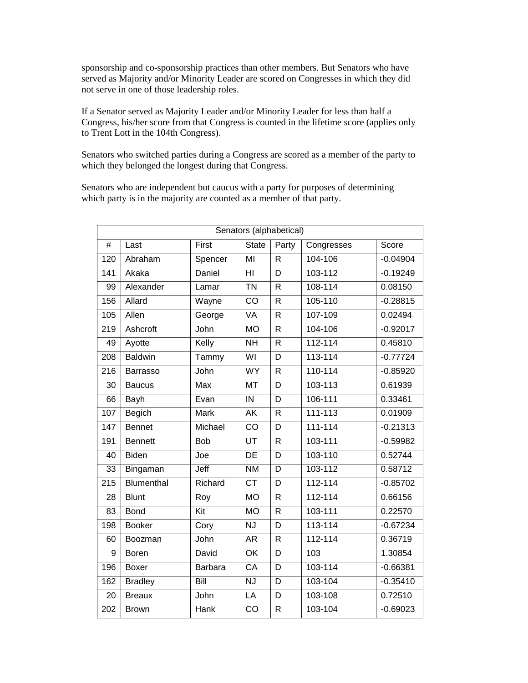sponsorship and co-sponsorship practices than other members. But Senators who have served as Majority and/or Minority Leader are scored on Congresses in which they did not serve in one of those leadership roles.

If a Senator served as Majority Leader and/or Minority Leader for less than half a Congress, his/her score from that Congress is counted in the lifetime score (applies only to Trent Lott in the 104th Congress).

Senators who switched parties during a Congress are scored as a member of the party to which they belonged the longest during that Congress.

Senators who are independent but caucus with a party for purposes of determining which party is in the majority are counted as a member of that party.

|                  | Senators (alphabetical) |            |                           |                         |             |            |  |  |  |
|------------------|-------------------------|------------|---------------------------|-------------------------|-------------|------------|--|--|--|
| #                | Last                    | First      | <b>State</b>              | Party                   | Congresses  | Score      |  |  |  |
| 120              | Abraham                 | Spencer    | MI                        | R                       | 104-106     | $-0.04904$ |  |  |  |
| 141              | Akaka                   | Daniel     | $\overline{\mathsf{H}}$   | $\overline{\mathsf{D}}$ | 103-112     | $-0.19249$ |  |  |  |
| 99               | Alexander               | Lamar      | $\overline{T}N$           | $\mathsf{R}$            | 108-114     | 0.08150    |  |  |  |
| 156              | Allard                  | Wayne      | $\overline{CO}$           | $\overline{R}$          | 105-110     | $-0.28815$ |  |  |  |
| 105              | Allen                   | George     | <b>VA</b>                 | R                       | 107-109     | 0.02494    |  |  |  |
| 219              | Ashcroft                | John       | <b>MO</b>                 | R                       | 104-106     | $-0.92017$ |  |  |  |
| 49               | Ayotte                  | Kelly      | <b>NH</b>                 | R                       | 112-114     | 0.45810    |  |  |  |
| $\overline{208}$ | <b>Baldwin</b>          | Tammy      | $\overline{\mathsf{W}}$   | D                       | 113-114     | $-0.77724$ |  |  |  |
| 216              | Barrasso                | John       | <b>WY</b>                 | $\mathsf R$             | 110-114     | $-0.85920$ |  |  |  |
| $\overline{30}$  | <b>Baucus</b>           | Max        | $\overline{\text{MT}}$    | $\overline{\mathsf{D}}$ | 103-113     | 0.61939    |  |  |  |
| 66               | Bayh                    | Evan       | $\overline{N}$            | D                       | 106-111     | 0.33461    |  |  |  |
| 107              | Begich                  | Mark       | AK                        | R                       | 111-113     | 0.01909    |  |  |  |
| 147              | <b>Bennet</b>           | Michael    | $\overline{CO}$           | $\overline{\mathsf{D}}$ | 111-114     | $-0.21313$ |  |  |  |
| 191              | <b>Bennett</b>          | <b>Bob</b> | UT                        | R                       | 103-111     | $-0.59982$ |  |  |  |
| 40               | Biden                   | Joe        | DE                        | D                       | 103-110     | 0.52744    |  |  |  |
| 33               | Bingaman                | Jeff       | $\overline{\text{NM}}$    | $\overline{\mathsf{D}}$ | 103-112     | 0.58712    |  |  |  |
| $\overline{215}$ | Blumenthal              | Richard    | $\overline{CT}$           | D                       | $112 - 114$ | $-0.85702$ |  |  |  |
| 28               | <b>Blunt</b>            | Roy        | <b>MO</b>                 | R                       | 112-114     | 0.66156    |  |  |  |
| 83               | <b>Bond</b>             | Kit        | $\overline{MO}$           | R                       | 103-111     | 0.22570    |  |  |  |
| 198              | <b>Booker</b>           | Cory       | <b>NJ</b>                 | D                       | 113-114     | $-0.67234$ |  |  |  |
| 60               | Boozman                 | John       | AR                        | R                       | 112-114     | 0.36719    |  |  |  |
| 9                | <b>Boren</b>            | David      | $\overline{OK}$           | $\overline{\mathsf{D}}$ | 103         | 1.30854    |  |  |  |
| 196              | <b>Boxer</b>            | Barbara    | $\overline{CA}$           | D                       | 103-114     | $-0.66381$ |  |  |  |
| 162              | <b>Bradley</b>          | Bill       | $\overline{\overline{N}}$ | D                       | 103-104     | $-0.35410$ |  |  |  |
| $\overline{20}$  | <b>Breaux</b>           | John       | $\overline{LA}$           | D                       | 103-108     | 0.72510    |  |  |  |
| 202              | <b>Brown</b>            | Hank       | $\overline{CO}$           | R                       | 103-104     | $-0.69023$ |  |  |  |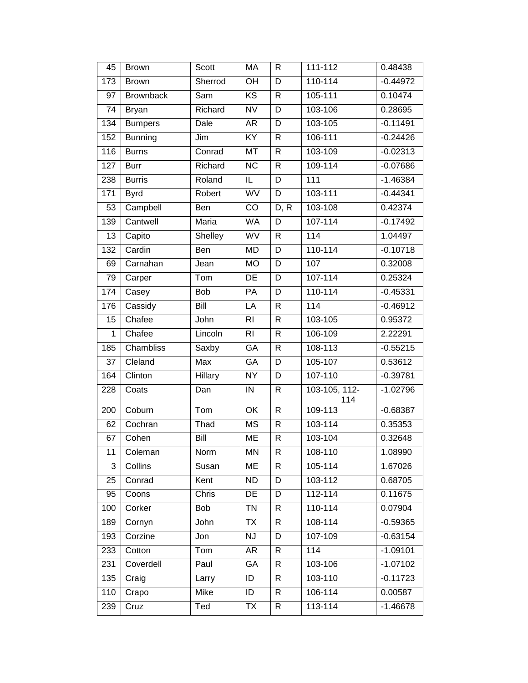| 45           | <b>Brown</b>     | Scott   | МA              | R              | $111 - 112$          | 0.48438    |
|--------------|------------------|---------|-----------------|----------------|----------------------|------------|
| 173          | <b>Brown</b>     | Sherrod | OH              | D              | $110 - 114$          | $-0.44972$ |
| 97           | <b>Brownback</b> | Sam     | <b>KS</b>       | $\mathsf{R}$   | 105-111              | 0.10474    |
| 74           | <b>Bryan</b>     | Richard | <b>NV</b>       | D              | 103-106              | 0.28695    |
| 134          | <b>Bumpers</b>   | Dale    | <b>AR</b>       | D              | 103-105              | $-0.11491$ |
| 152          | <b>Bunning</b>   | Jim     | KY              | $\mathsf{R}$   | 106-111              | $-0.24426$ |
| 116          | <b>Burns</b>     | Conrad  | MT              | $\mathsf{R}$   | 103-109              | $-0.02313$ |
| 127          | <b>Burr</b>      | Richard | $\overline{NC}$ | $\overline{R}$ | 109-114              | $-0.07686$ |
| 238          | <b>Burris</b>    | Roland  | $\mathsf{IL}$   | D              | 111                  | $-1.46384$ |
| 171          | <b>Byrd</b>      | Robert  | WV              | D              | 103-111              | $-0.44341$ |
| 53           | Campbell         | Ben     | CO              | D, R           | 103-108              | 0.42374    |
| 139          | Cantwell         | Maria   | <b>WA</b>       | D              | 107-114              | $-0.17492$ |
| 13           | Capito           | Shelley | WV              | $\overline{R}$ | 114                  | 1.04497    |
| 132          | Cardin           | Ben     | <b>MD</b>       | D              | 110-114              | $-0.10718$ |
| 69           | Carnahan         | Jean    | <b>MO</b>       | D              | 107                  | 0.32008    |
| 79           | Carper           | Tom     | DE              | D              | 107-114              | 0.25324    |
| 174          | Casey            | Bob     | PA              | D              | 110-114              | $-0.45331$ |
| 176          | Cassidy          | Bill    | LA              | R              | 114                  | $-0.46912$ |
| 15           | Chafee           | John    | R <sub>l</sub>  | $\mathsf{R}$   | 103-105              | 0.95372    |
| $\mathbf{1}$ | Chafee           | Lincoln | R <sub>l</sub>  | R              | 106-109              | 2.22291    |
| 185          | Chambliss        | Saxby   | GA              | $\mathsf{R}$   | 108-113              | $-0.55215$ |
| 37           | Cleland          | Max     | GA              | D              | 105-107              | 0.53612    |
| 164          | Clinton          | Hillary | NY              | D              | 107-110              | $-0.39781$ |
| 228          | Coats            | Dan     | IN              | $\mathsf{R}$   | 103-105, 112-<br>114 | $-1.02796$ |
| 200          | Coburn           | Tom     | OK              | $\mathsf{R}$   | 109-113              | $-0.68387$ |
| 62           | Cochran          | Thad    | <b>MS</b>       | $\mathsf{R}$   | 103-114              | 0.35353    |
| 67           | Cohen            | Bill    | <b>ME</b>       | $\mathsf R$    | 103-104              | 0.32648    |
| 11           | Coleman          | Norm    | MN              | R              | 108-110              | 1.08990    |
| 3            | Collins          | Susan   | ME              | R              | 105-114              | 1.67026    |
| 25           | Conrad           | Kent    | <b>ND</b>       | D              | 103-112              | 0.68705    |
| 95           | Coons            | Chris   | DE              | D              | $112 - 114$          | 0.11675    |
| 100          | Corker           | Bob     | <b>TN</b>       | R              | 110-114              | 0.07904    |
| 189          | Cornyn           | John    | TX              | R              | 108-114              | $-0.59365$ |
| 193          | Corzine          | Jon     | <b>NJ</b>       | D              | 107-109              | $-0.63154$ |
| 233          | Cotton           | Tom     | AR              | R              | 114                  | $-1.09101$ |
| 231          | Coverdell        | Paul    | GA              | R              | 103-106              | $-1.07102$ |
| 135          | Craig            | Larry   | ID              | R              | 103-110              | $-0.11723$ |
| 110          | Crapo            | Mike    | ID              | R              | 106-114              | 0.00587    |
| 239          | Cruz             | Ted     | TX              | R              | 113-114              | $-1.46678$ |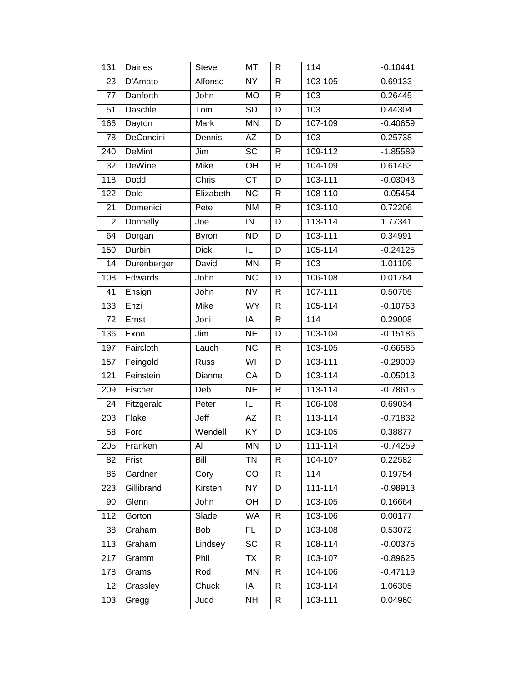| 131            | Daines        | <b>Steve</b> | <b>MT</b>               | $\overline{R}$ | 114         | $-0.10441$ |
|----------------|---------------|--------------|-------------------------|----------------|-------------|------------|
| 23             | D'Amato       | Alfonse      | <b>NY</b>               | $\mathsf{R}$   | 103-105     | 0.69133    |
| 77             | Danforth      | John         | <b>MO</b>               | $\mathsf{R}$   | 103         | 0.26445    |
| 51             | Daschle       | Tom          | <b>SD</b>               | D              | 103         | 0.44304    |
| 166            | Dayton        | Mark         | <b>MN</b>               | D              | 107-109     | $-0.40659$ |
| 78             | DeConcini     | Dennis       | <b>AZ</b>               | D              | 103         | 0.25738    |
| 240            | <b>DeMint</b> | Jim          | $\overline{SC}$         | $\mathsf{R}$   | 109-112     | $-1.85589$ |
| 32             | DeWine        | <b>Mike</b>  | OH                      | $\mathsf{R}$   | 104-109     | 0.61463    |
| 118            | Dodd          | Chris        | $\overline{CT}$         | D              | 103-111     | $-0.03043$ |
| 122            | Dole          | Elizabeth    | $\overline{NC}$         | $\mathsf{R}$   | 108-110     | $-0.05454$ |
| 21             | Domenici      | Pete         | <b>NM</b>               | $\mathsf{R}$   | 103-110     | 0.72206    |
| $\overline{2}$ | Donnelly      | Joe          | IN                      | D              | $113 - 114$ | 1.77341    |
| 64             | Dorgan        | <b>Byron</b> | <b>ND</b>               | D              | 103-111     | 0.34991    |
| 150            | Durbin        | <b>Dick</b>  | IL                      | D              | 105-114     | $-0.24125$ |
| 14             | Durenberger   | David        | <b>MN</b>               | $\mathsf{R}$   | 103         | 1.01109    |
| 108            | Edwards       | John         | $\overline{NC}$         | D              | 106-108     | 0.01784    |
| 41             | Ensign        | John         | $\overline{\text{NV}}$  | $\mathsf{R}$   | 107-111     | 0.50705    |
| 133            | Enzi          | Mike         | $\overline{W}Y$         | $\mathsf{R}$   | 105-114     | $-0.10753$ |
| 72             | Ernst         | Joni         | IA                      | $\mathsf{R}$   | 114         | 0.29008    |
| 136            | Exon          | Jim          | $\overline{\text{NE}}$  | D              | 103-104     | $-0.15186$ |
| 197            | Faircloth     | Lauch        | <b>NC</b>               | $\mathsf{R}$   | 103-105     | $-0.66585$ |
| 157            | Feingold      | Russ         | $\overline{\mathsf{W}}$ | D              | $103 - 111$ | $-0.29009$ |
| 121            | Feinstein     | Dianne       | CA                      | D              | 103-114     | $-0.05013$ |
| 209            | Fischer       | Deb          | <b>NE</b>               | $\mathsf{R}$   | 113-114     | $-0.78615$ |
| 24             | Fitzgerald    | Peter        | $\overline{\mathsf{L}}$ | $\mathsf{R}$   | 106-108     | 0.69034    |
| 203            | Flake         | Jeff         | AZ                      | $\mathsf{R}$   | 113-114     | $-0.71832$ |
| 58             | Ford          | Wendell      | $\overline{KY}$         | D              | 103-105     | 0.38877    |
| 205            | Franken       | Al           | <b>MN</b>               | D              | 111-114     | $-0.74259$ |
| 82             | Frist         | Bill         | TN                      | R              | 104-107     | 0.22582    |
| 86             | Gardner       | Cory         | CO                      | $\mathsf{R}$   | 114         | 0.19754    |
| 223            | Gillibrand    | Kirsten      | <b>NY</b>               | D              | 111-114     | $-0.98913$ |
| 90             | Glenn         | John         | OH                      | D              | 103-105     | 0.16664    |
| 112            | Gorton        | Slade        | <b>WA</b>               | $\mathsf{R}$   | 103-106     | 0.00177    |
| 38             | Graham        | Bob          | FL.                     | D              | 103-108     | 0.53072    |
| 113            | Graham        | Lindsey      | SC                      | R              | 108-114     | $-0.00375$ |
| 217            | Gramm         | Phil         | TX                      | R              | 103-107     | $-0.89625$ |
| 178            | Grams         | Rod          | <b>MN</b>               | R              | 104-106     | $-0.47119$ |
| 12             | Grassley      | Chuck        | IA                      | R              | 103-114     | 1.06305    |
| 103            | Gregg         | Judd         | <b>NH</b>               | R              | 103-111     | 0.04960    |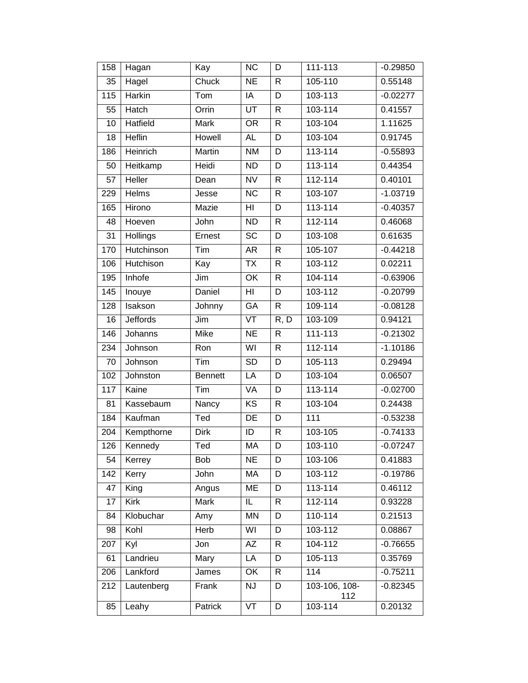| 158             | Hagan           | Kay            | <b>NC</b>              | D                 | 111-113              | $-0.29850$ |
|-----------------|-----------------|----------------|------------------------|-------------------|----------------------|------------|
| 35              | Hagel           | Chuck          | NE                     | $\mathsf{R}$      | 105-110              | 0.55148    |
| 115             | Harkin          | Tom            | IA                     | D                 | 103-113              | $-0.02277$ |
| 55              | Hatch           | Orrin          | UT                     | $\mathsf{R}$      | 103-114              | 0.41557    |
| 10              | <b>Hatfield</b> | Mark           | <b>OR</b>              | $\mathsf{R}$      | 103-104              | 1.11625    |
| 18              | Heflin          | Howell         | <b>AL</b>              | D                 | 103-104              | 0.91745    |
| 186             | Heinrich        | <b>Martin</b>  | <b>NM</b>              | Đ.                | 113-114              | $-0.55893$ |
| 50              | Heitkamp        | Heidi          | <b>ND</b>              | D                 | 113-114              | 0.44354    |
| 57              | Heller          | Dean           | <b>NV</b>              | $\mathsf{R}$      | 112-114              | 0.40101    |
| 229             | Helms           | Jesse          | $\overline{NC}$        | $\mathsf{R}$      | 103-107              | $-1.03719$ |
| 165             | Hirono          | Mazie          | HI                     | D                 | 113-114              | $-0.40357$ |
| 48              | Hoeven          | John           | <b>ND</b>              | $\mathsf{R}$      | 112-114              | 0.46068    |
| $\overline{31}$ | <b>Hollings</b> | Ernest         | $\overline{SC}$        | D                 | 103-108              | 0.61635    |
| 170             | Hutchinson      | Tim            | AR                     | $\mathsf{R}$      | 105-107              | $-0.44218$ |
| 106             | Hutchison       | Kay            | <b>TX</b>              | $\mathsf{R}$      | 103-112              | 0.02211    |
| 195             | Inhofe          | Jim            | $\overline{OK}$        | $\mathsf{R}$      | 104-114              | $-0.63906$ |
| 145             | Inouye          | Daniel         | $\overline{H}$         | D                 | $103 - 112$          | $-0.20799$ |
| 128             | Isakson         | Johnny         | GA                     | $\mathsf{R}$      | 109-114              | $-0.08128$ |
| 16              | <b>Jeffords</b> | Jim            | VT                     | $\overline{R, D}$ | 103-109              | 0.94121    |
| 146             | Johanns         | Mike           | $\overline{\text{NE}}$ | $\mathsf{R}$      | 111-113              | $-0.21302$ |
| 234             | Johnson         | Ron            | WI                     | $\mathsf{R}$      | 112-114              | $-1.10186$ |
| 70              | Johnson         | Tim            | SD                     | D                 | 105-113              | 0.29494    |
| 102             | Johnston        | <b>Bennett</b> | LA                     | D                 | 103-104              | 0.06507    |
| 117             | Kaine           | Tim            | VA                     | D                 | 113-114              | $-0.02700$ |
| 81              | Kassebaum       | Nancy          | $\overline{KS}$        | $\mathsf{R}$      | 103-104              | 0.24438    |
| 184             | Kaufman         | Ted            | DE                     | D                 | 111                  | $-0.53238$ |
| 204             | Kempthorne      | <b>Dirk</b>    | ID                     | $\mathsf{R}$      | 103-105              | $-0.74133$ |
| 126             | Kennedy         | Ted            | MA                     | D                 | 103-110              | $-0.07247$ |
| 54              | Kerrey          | Bob            | <b>NE</b>              | D                 | 103-106              | 0.41883    |
| 142             | Kerry           | John           | МA                     | D                 | 103-112              | $-0.19786$ |
| 47              | King            | Angus          | ME                     | D                 | 113-114              | 0.46112    |
| 17              | Kirk            | Mark           | IL                     | R                 | 112-114              | 0.93228    |
| 84              | Klobuchar       | Amy            | <b>MN</b>              | D                 | 110-114              | 0.21513    |
| 98              | Kohl            | Herb           | WI                     | D                 | 103-112              | 0.08867    |
| 207             | Kyl             | Jon            | AZ                     | R                 | 104-112              | $-0.76655$ |
| 61              | Landrieu        | Mary           | LA                     | D                 | 105-113              | 0.35769    |
| 206             | Lankford        | James          | OK                     | $\mathsf{R}$      | 114                  | $-0.75211$ |
| 212             | Lautenberg      | Frank          | <b>NJ</b>              | D                 | 103-106, 108-<br>112 | $-0.82345$ |
| 85              | Leahy           | Patrick        | VT                     | D                 | 103-114              | 0.20132    |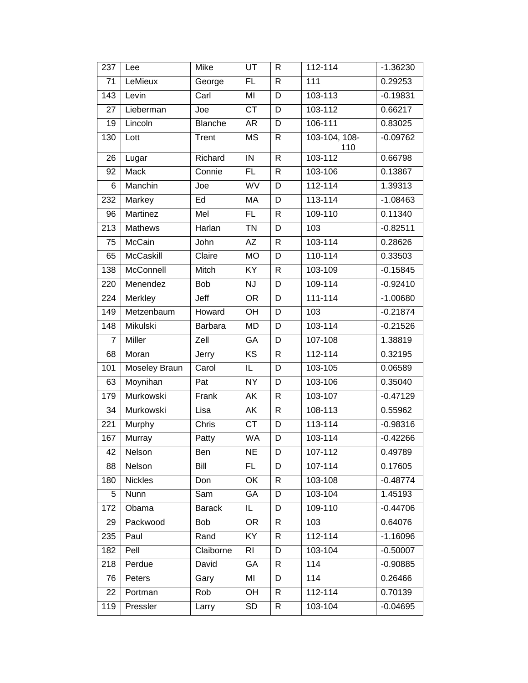| 237            | Lee            | Mike               | UT                     | R            | $112 - 114$          | $-1.36230$ |
|----------------|----------------|--------------------|------------------------|--------------|----------------------|------------|
| 71             | LeMieux        | George             | $\overline{FL}$        | $\mathsf{R}$ | 111                  | 0.29253    |
| 143            | Levin          | $\overline{C}$ arl | MI                     | D            | 103-113              | $-0.19831$ |
| 27             | Lieberman      | Joe                | <b>CT</b>              | D            | 103-112              | 0.66217    |
| 19             | Lincoln        | <b>Blanche</b>     | <b>AR</b>              | D            | 106-111              | 0.83025    |
| 130            | Lott           | Trent              | <b>MS</b>              | $\mathsf{R}$ | 103-104, 108-<br>110 | $-0.09762$ |
| 26             | Lugar          | Richard            | $\overline{N}$         | $\mathsf{R}$ | 103-112              | 0.66798    |
| 92             | Mack           | Connie             | FL                     | $\mathsf{R}$ | 103-106              | 0.13867    |
| 6              | <b>Manchin</b> | Joe                | <b>WV</b>              | D            | $112 - 114$          | 1.39313    |
| 232            | Markey         | Ed                 | MA                     | D            | $113 - 114$          | $-1.08463$ |
| 96             | Martinez       | Mel                | FL                     | $\mathsf{R}$ | 109-110              | 0.11340    |
| 213            | <b>Mathews</b> | Harlan             | <b>TN</b>              | D            | 103                  | $-0.82511$ |
| 75             | McCain         | John               | AΖ                     | $\mathsf{R}$ | 103-114              | 0.28626    |
| 65             | McCaskill      | Claire             | <b>MO</b>              | D            | 110-114              | 0.33503    |
| 138            | McConnell      | Mitch              | KY                     | R            | 103-109              | $-0.15845$ |
| 220            | Menendez       | Bob                | NJ                     | D            | 109-114              | $-0.92410$ |
| 224            | Merkley        | Jeff               | <b>OR</b>              | D            | 111-114              | $-1.00680$ |
| 149            | Metzenbaum     | Howard             | OH                     | D            | 103                  | $-0.21874$ |
| 148            | Mikulski       | <b>Barbara</b>     | <b>MD</b>              | D            | 103-114              | $-0.21526$ |
| $\overline{7}$ | Miller         | Zell               | GA                     | D            | 107-108              | 1.38819    |
| 68             | Moran          | Jerry              | $\overline{KS}$        | R            | $112 - 114$          | 0.32195    |
| 101            | Moseley Braun  | Carol              | IL                     | D            | 103-105              | 0.06589    |
| 63             | Moynihan       | Pat                | $\overline{NY}$        | D            | 103-106              | 0.35040    |
| 179            | Murkowski      | Frank              | <b>AK</b>              | R            | 103-107              | $-0.47129$ |
| 34             | Murkowski      | Lisa               | AK                     | R            | 108-113              | 0.55962    |
| 221            | Murphy         | Chris              | $\overline{\text{CT}}$ | D            | $113 - 114$          | $-0.98316$ |
| 167            | Murray         | Patty              | <b>WA</b>              | D            | 103-114              | $-0.42266$ |
| 42             | Nelson         | Ben                | <b>NE</b>              | D            | 107-112              | 0.49789    |
| 88             | Nelson         | Bill               | FL                     | D            | 107-114              | 0.17605    |
| 180            | <b>Nickles</b> | Don                | OK                     | R            | 103-108              | $-0.48774$ |
| 5              | Nunn           | Sam                | GA                     | D            | 103-104              | 1.45193    |
| 172            | Obama          | <b>Barack</b>      | IL.                    | D            | 109-110              | $-0.44706$ |
| 29             | Packwood       | Bob                | <b>OR</b>              | R            | 103                  | 0.64076    |
| 235            | Paul           | Rand               | $\overline{KY}$        | R            | 112-114              | $-1.16096$ |
| 182            | Pell           | Claiborne          | <b>RI</b>              | D            | 103-104              | $-0.50007$ |
| 218            | Perdue         | David              | GA                     | R            | 114                  | $-0.90885$ |
| 76             | Peters         | Gary               | MI                     | D            | 114                  | 0.26466    |
| 22             | Portman        | Rob                | OH                     | R            | 112-114              | 0.70139    |
| 119            | Pressler       | Larry              | SD                     | R            | 103-104              | $-0.04695$ |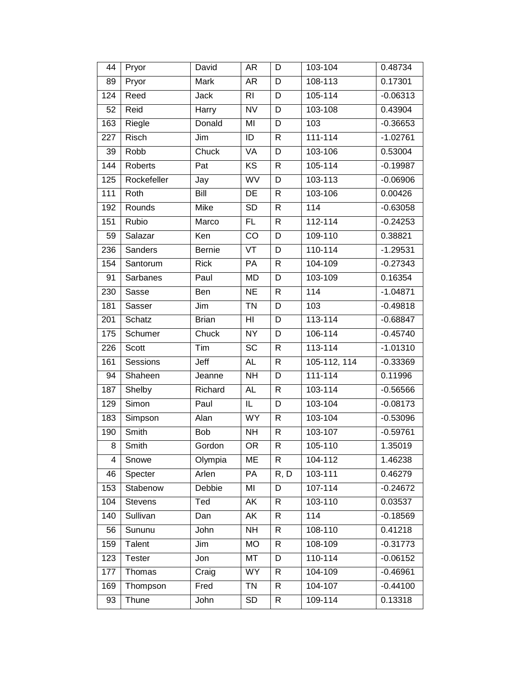| 44  | Pryor           | David                       | AR                      | D            | 103-104      | 0.48734    |
|-----|-----------------|-----------------------------|-------------------------|--------------|--------------|------------|
| 89  | Pryor           | <b>Mark</b>                 | AR                      | D            | 108-113      | 0.17301    |
| 124 | Reed            | Jack                        | <b>RI</b>               | D            | 105-114      | $-0.06313$ |
| 52  | Reid            | Harry                       | $\overline{\text{NV}}$  | D            | 103-108      | 0.43904    |
| 163 | Riegle          | Donald                      | MI                      | D            | 103          | $-0.36653$ |
| 227 | Risch           | Jim                         | ID                      | $\mathsf{R}$ | $111 - 114$  | $-1.02761$ |
| 39  | Robb            | Chuck                       | VA                      | D            | 103-106      | 0.53004    |
| 144 | Roberts         | Pat                         | KS                      | $\mathsf{R}$ | 105-114      | $-0.19987$ |
| 125 | Rockefeller     | Jay                         | WV                      | $\mathsf D$  | 103-113      | $-0.06906$ |
| 111 | Roth            | <b>Bill</b>                 | DE                      | $\mathsf{R}$ | 103-106      | 0.00426    |
| 192 | Rounds          | Mike                        | <b>SD</b>               | R            | 114          | $-0.63058$ |
| 151 | Rubio           | $\overline{\mathsf{Marco}}$ | FL.                     | $\mathsf{R}$ | 112-114      | $-0.24253$ |
| 59  | Salazar         | Ken                         | $\overline{CO}$         | D            | 109-110      | 0.38821    |
| 236 | Sanders         | <b>Bernie</b>               | VT                      | D            | 110-114      | $-1.29531$ |
| 154 | Santorum        | <b>Rick</b>                 | PA                      | $\mathsf{R}$ | 104-109      | $-0.27343$ |
| 91  | <b>Sarbanes</b> | Paul                        | <b>MD</b>               | D            | 103-109      | 0.16354    |
| 230 | Sasse           | Ben                         | <b>NE</b>               | $\mathsf{R}$ | 114          | $-1.04871$ |
| 181 | Sasser          | Jim                         | <b>TN</b>               | D            | 103          | $-0.49818$ |
| 201 | Schatz          | <b>Brian</b>                | $\overline{H}$          | D            | 113-114      | $-0.68847$ |
| 175 | Schumer         | Chuck                       | <b>NY</b>               | D            | 106-114      | $-0.45740$ |
| 226 | Scott           | Tim                         | <b>SC</b>               | R            | 113-114      | $-1.01310$ |
| 161 | Sessions        | Jeff                        | <b>AL</b>               | $\mathsf{R}$ | 105-112, 114 | $-0.33369$ |
| 94  | Shaheen         | Jeanne                      | $\overline{N}$          | D            | $111 - 114$  | 0.11996    |
| 187 | Shelby          | Richard                     | AL                      | $\mathsf{R}$ | 103-114      | $-0.56566$ |
| 129 | Simon           | Paul                        | $\overline{\mathsf{L}}$ | D            | 103-104      | $-0.08173$ |
| 183 | Simpson         | Alan                        | <b>WY</b>               | $\mathsf{R}$ | 103-104      | $-0.53096$ |
| 190 | Smith           | Bob                         | <b>NH</b>               | R            | 103-107      | $-0.59761$ |
| 8   | Smith           | Gordon                      | <b>OR</b>               | $\mathsf{R}$ | 105-110      | 1.35019    |
| 4   | Snowe           | Olympia                     | МE                      | R            | 104-112      | 1.46238    |
| 46  | Specter         | Arlen                       | PA                      | R, D         | 103-111      | 0.46279    |
| 153 | Stabenow        | Debbie                      | MI                      | D            | 107-114      | $-0.24672$ |
| 104 | Stevens         | Ted                         | AΚ                      | R            | 103-110      | 0.03537    |
| 140 | Sullivan        | Dan                         | AK                      | R            | 114          | $-0.18569$ |
| 56  | Sununu          | John                        | <b>NH</b>               | R.           | 108-110      | 0.41218    |
| 159 | Talent          | Jim                         | <b>MO</b>               | R            | 108-109      | $-0.31773$ |
| 123 | <b>Tester</b>   | Jon                         | MT                      | D            | 110-114      | $-0.06152$ |
| 177 | Thomas          | Craig                       | <b>WY</b>               | R            | 104-109      | $-0.46961$ |
| 169 | Thompson        | Fred                        | <b>TN</b>               | R            | 104-107      | $-0.44100$ |
| 93  | Thune           | John                        | <b>SD</b>               | R            | 109-114      | 0.13318    |